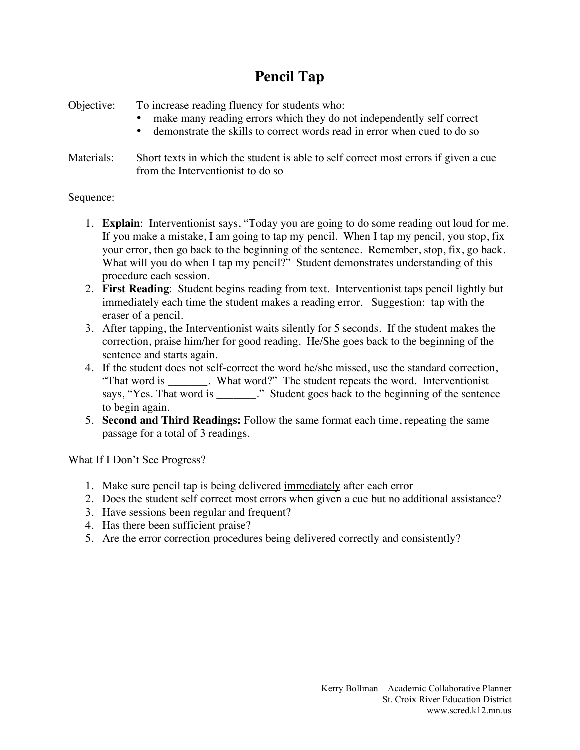## **Pencil Tap**

Objective: To increase reading fluency for students who:

- make many reading errors which they do not independently self correct
- demonstrate the skills to correct words read in error when cued to do so
- Materials: Short texts in which the student is able to self correct most errors if given a cue from the Interventionist to do so

## Sequence:

- 1. **Explain**: Interventionist says, "Today you are going to do some reading out loud for me. If you make a mistake, I am going to tap my pencil. When I tap my pencil, you stop, fix your error, then go back to the beginning of the sentence. Remember, stop, fix, go back. What will you do when I tap my pencil?" Student demonstrates understanding of this procedure each session.
- 2. **First Reading**: Student begins reading from text. Interventionist taps pencil lightly but immediately each time the student makes a reading error. Suggestion: tap with the eraser of a pencil.
- 3. After tapping, the Interventionist waits silently for 5 seconds. If the student makes the correction, praise him/her for good reading. He/She goes back to the beginning of the sentence and starts again.
- 4. If the student does not self-correct the word he/she missed, use the standard correction, "That word is \_\_\_\_\_\_\_. What word?" The student repeats the word. Interventionist says, "Yes. That word is \_\_\_\_\_\_." Student goes back to the beginning of the sentence to begin again.
- 5. **Second and Third Readings:** Follow the same format each time, repeating the same passage for a total of 3 readings.

What If I Don't See Progress?

- 1. Make sure pencil tap is being delivered immediately after each error
- 2. Does the student self correct most errors when given a cue but no additional assistance?
- 3. Have sessions been regular and frequent?
- 4. Has there been sufficient praise?
- 5. Are the error correction procedures being delivered correctly and consistently?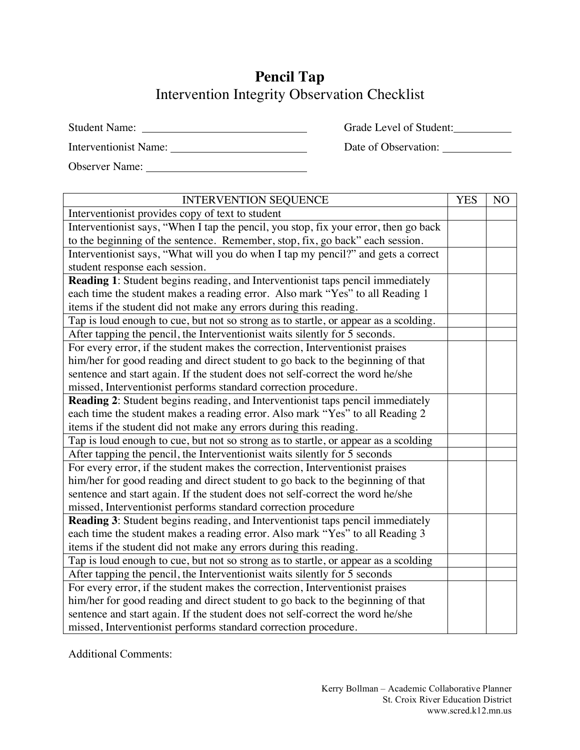## **Pencil Tap** Intervention Integrity Observation Checklist

| Student Name:         | Grade Level of Student: |
|-----------------------|-------------------------|
| Interventionist Name: | Date of Observation:    |

Observer Name:

| <b>INTERVENTION SEQUENCE</b>                                                         |  | N <sub>O</sub> |
|--------------------------------------------------------------------------------------|--|----------------|
| Interventionist provides copy of text to student                                     |  |                |
| Interventionist says, "When I tap the pencil, you stop, fix your error, then go back |  |                |
| to the beginning of the sentence. Remember, stop, fix, go back" each session.        |  |                |
| Interventionist says, "What will you do when I tap my pencil?" and gets a correct    |  |                |
| student response each session.                                                       |  |                |
| Reading 1: Student begins reading, and Interventionist taps pencil immediately       |  |                |
| each time the student makes a reading error. Also mark "Yes" to all Reading 1        |  |                |
| items if the student did not make any errors during this reading.                    |  |                |
| Tap is loud enough to cue, but not so strong as to startle, or appear as a scolding. |  |                |
| After tapping the pencil, the Interventionist waits silently for 5 seconds.          |  |                |
| For every error, if the student makes the correction, Interventionist praises        |  |                |
| him/her for good reading and direct student to go back to the beginning of that      |  |                |
| sentence and start again. If the student does not self-correct the word he/she       |  |                |
| missed, Interventionist performs standard correction procedure.                      |  |                |
| Reading 2: Student begins reading, and Interventionist taps pencil immediately       |  |                |
| each time the student makes a reading error. Also mark "Yes" to all Reading 2        |  |                |
| items if the student did not make any errors during this reading.                    |  |                |
| Tap is loud enough to cue, but not so strong as to startle, or appear as a scolding  |  |                |
| After tapping the pencil, the Interventionist waits silently for 5 seconds           |  |                |
| For every error, if the student makes the correction, Interventionist praises        |  |                |
| him/her for good reading and direct student to go back to the beginning of that      |  |                |
| sentence and start again. If the student does not self-correct the word he/she       |  |                |
| missed, Interventionist performs standard correction procedure                       |  |                |
| Reading 3: Student begins reading, and Interventionist taps pencil immediately       |  |                |
| each time the student makes a reading error. Also mark "Yes" to all Reading 3        |  |                |
| items if the student did not make any errors during this reading.                    |  |                |
| Tap is loud enough to cue, but not so strong as to startle, or appear as a scolding  |  |                |
| After tapping the pencil, the Interventionist waits silently for 5 seconds           |  |                |
| For every error, if the student makes the correction, Interventionist praises        |  |                |
| him/her for good reading and direct student to go back to the beginning of that      |  |                |
| sentence and start again. If the student does not self-correct the word he/she       |  |                |
| missed, Interventionist performs standard correction procedure.                      |  |                |

Additional Comments: